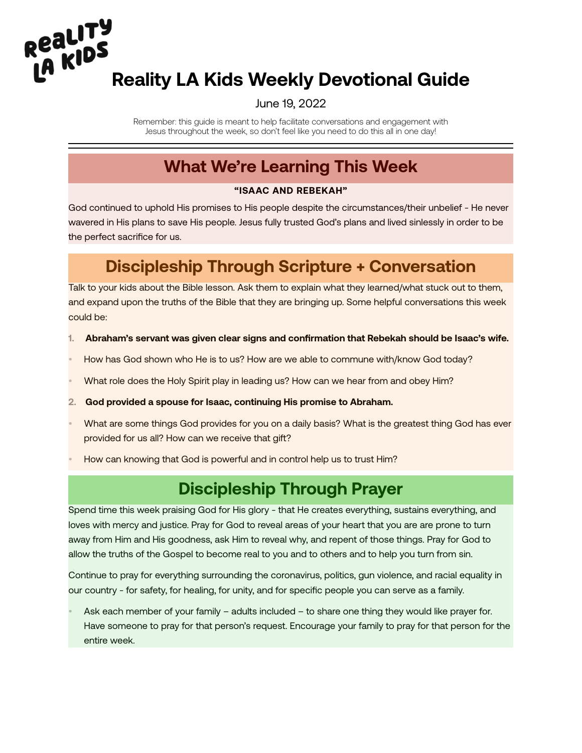# **Reality LA Kids Weekly Devotional Guide<br>
LA KIDS**<br>
Reality LA Kids Weekly Devotional Guide

#### June 19, 2022

Remember: this guide is meant to help facilitate conversations and engagement with Jesus throughout the week, so don't feel like you need to do this all in one day!

#### **What We're Learning This Week**

#### **"ISAAC AND REBEKAH"**

God continued to uphold His promises to His people despite the circumstances/their unbelief - He never wavered in His plans to save His people. Jesus fully trusted God's plans and lived sinlessly in order to be the perfect sacrifice for us.

## **Discipleship Through Scripture + Conversation**

Talk to your kids about the Bible lesson. Ask them to explain what they learned/what stuck out to them, and expand upon the truths of the Bible that they are bringing up. Some helpful conversations this week could be:

- **1. Abraham's servant was given clear signs and confirmation that Rebekah should be Isaac's wife.**
- How has God shown who He is to us? How are we able to commune with/know God today?
- What role does the Holy Spirit play in leading us? How can we hear from and obey Him?
- **2. God provided a spouse for Isaac, continuing His promise to Abraham.**
- What are some things God provides for you on a daily basis? What is the greatest thing God has ever provided for us all? How can we receive that gift?
- How can knowing that God is powerful and in control help us to trust Him?

### **Discipleship Through Prayer**

Spend time this week praising God for His glory - that He creates everything, sustains everything, and loves with mercy and justice. Pray for God to reveal areas of your heart that you are are prone to turn away from Him and His goodness, ask Him to reveal why, and repent of those things. Pray for God to allow the truths of the Gospel to become real to you and to others and to help you turn from sin.

Continue to pray for everything surrounding the coronavirus, politics, gun violence, and racial equality in `our country - for safety, for healing, for unity, and for specific people you can serve as a family.

• Ask each member of your family – adults included – to share one thing they would like prayer for. Have someone to pray for that person's request. Encourage your family to pray for that person for the entire week.